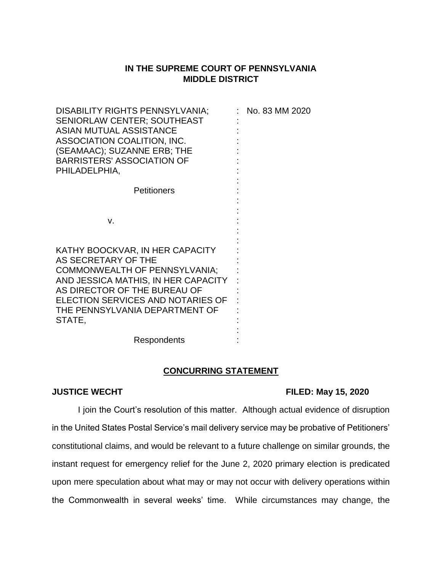## **IN THE SUPREME COURT OF PENNSYLVANIA MIDDLE DISTRICT**

| DISABILITY RIGHTS PENNSYLVANIA;<br><b>SENIORLAW CENTER; SOUTHEAST</b><br><b>ASIAN MUTUAL ASSISTANCE</b><br>ASSOCIATION COALITION, INC.<br>(SEAMAAC); SUZANNE ERB; THE<br><b>BARRISTERS' ASSOCIATION OF</b><br>PHILADELPHIA,                            | No. 83 MM 2020 |
|--------------------------------------------------------------------------------------------------------------------------------------------------------------------------------------------------------------------------------------------------------|----------------|
| <b>Petitioners</b>                                                                                                                                                                                                                                     |                |
| V.                                                                                                                                                                                                                                                     |                |
| KATHY BOOCKVAR, IN HER CAPACITY<br>AS SECRETARY OF THE<br><b>COMMONWEALTH OF PENNSYLVANIA;</b><br>AND JESSICA MATHIS, IN HER CAPACITY<br>AS DIRECTOR OF THE BUREAU OF<br>ELECTION SERVICES AND NOTARIES OF<br>THE PENNSYLVANIA DEPARTMENT OF<br>STATE, |                |
| Respondents                                                                                                                                                                                                                                            |                |

## **CONCURRING STATEMENT**

## **JUSTICE WECHT FILED: May 15, 2020**

I join the Court's resolution of this matter. Although actual evidence of disruption in the United States Postal Service's mail delivery service may be probative of Petitioners' constitutional claims, and would be relevant to a future challenge on similar grounds, the instant request for emergency relief for the June 2, 2020 primary election is predicated upon mere speculation about what may or may not occur with delivery operations within the Commonwealth in several weeks' time. While circumstances may change, the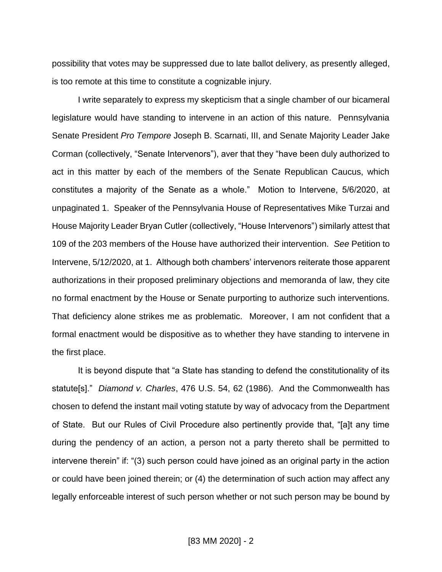possibility that votes may be suppressed due to late ballot delivery, as presently alleged, is too remote at this time to constitute a cognizable injury.

I write separately to express my skepticism that a single chamber of our bicameral legislature would have standing to intervene in an action of this nature. Pennsylvania Senate President *Pro Tempore* Joseph B. Scarnati, III, and Senate Majority Leader Jake Corman (collectively, "Senate Intervenors"), aver that they "have been duly authorized to act in this matter by each of the members of the Senate Republican Caucus, which constitutes a majority of the Senate as a whole." Motion to Intervene, 5/6/2020, at unpaginated 1. Speaker of the Pennsylvania House of Representatives Mike Turzai and House Majority Leader Bryan Cutler (collectively, "House Intervenors") similarly attest that 109 of the 203 members of the House have authorized their intervention. *See* Petition to Intervene, 5/12/2020, at 1. Although both chambers' intervenors reiterate those apparent authorizations in their proposed preliminary objections and memoranda of law, they cite no formal enactment by the House or Senate purporting to authorize such interventions. That deficiency alone strikes me as problematic. Moreover, I am not confident that a formal enactment would be dispositive as to whether they have standing to intervene in the first place.

It is beyond dispute that "a State has standing to defend the constitutionality of its statute[s]." *Diamond v. Charles*, 476 U.S. 54, 62 (1986). And the Commonwealth has chosen to defend the instant mail voting statute by way of advocacy from the Department of State. But our Rules of Civil Procedure also pertinently provide that, "[a]t any time during the pendency of an action, a person not a party thereto shall be permitted to intervene therein" if: "(3) such person could have joined as an original party in the action or could have been joined therein; or (4) the determination of such action may affect any legally enforceable interest of such person whether or not such person may be bound by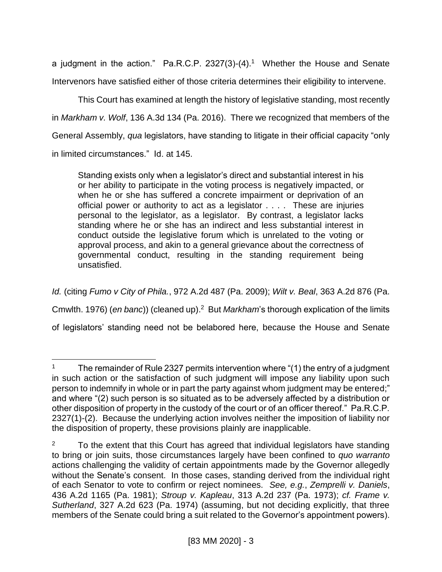a judgment in the action." Pa.R.C.P. 2327(3)-(4).<sup>1</sup> Whether the House and Senate Intervenors have satisfied either of those criteria determines their eligibility to intervene.

This Court has examined at length the history of legislative standing, most recently in *Markham v. Wolf*, 136 A.3d 134 (Pa. 2016). There we recognized that members of the General Assembly, *qua* legislators, have standing to litigate in their official capacity "only in limited circumstances." Id. at 145.

Standing exists only when a legislator's direct and substantial interest in his or her ability to participate in the voting process is negatively impacted, or when he or she has suffered a concrete impairment or deprivation of an official power or authority to act as a legislator . . . . These are injuries personal to the legislator, as a legislator. By contrast, a legislator lacks standing where he or she has an indirect and less substantial interest in conduct outside the legislative forum which is unrelated to the voting or approval process, and akin to a general grievance about the correctness of governmental conduct, resulting in the standing requirement being unsatisfied.

*Id.* (citing *Fumo v City of Phila.*, 972 A.2d 487 (Pa. 2009); *Wilt v. Beal*, 363 A.2d 876 (Pa. Cmwlth. 1976) (*en banc*)) (cleaned up). 2 But *Markham*'s thorough explication of the limits of legislators' standing need not be belabored here, because the House and Senate

 $\overline{a}$ 

<sup>&</sup>lt;sup>1</sup> The remainder of Rule 2327 permits intervention where " $(1)$  the entry of a judgment in such action or the satisfaction of such judgment will impose any liability upon such person to indemnify in whole or in part the party against whom judgment may be entered;" and where "(2) such person is so situated as to be adversely affected by a distribution or other disposition of property in the custody of the court or of an officer thereof." Pa.R.C.P. 2327(1)-(2). Because the underlying action involves neither the imposition of liability nor the disposition of property, these provisions plainly are inapplicable.

 $2 \times 7$  To the extent that this Court has agreed that individual legislators have standing to bring or join suits, those circumstances largely have been confined to *quo warranto* actions challenging the validity of certain appointments made by the Governor allegedly without the Senate's consent. In those cases, standing derived from the individual right of each Senator to vote to confirm or reject nominees. *See, e.g.*, *Zemprelli v. Daniels*, 436 A.2d 1165 (Pa. 1981); *Stroup v. Kapleau*, 313 A.2d 237 (Pa. 1973); *cf. Frame v. Sutherland*, 327 A.2d 623 (Pa. 1974) (assuming, but not deciding explicitly, that three members of the Senate could bring a suit related to the Governor's appointment powers).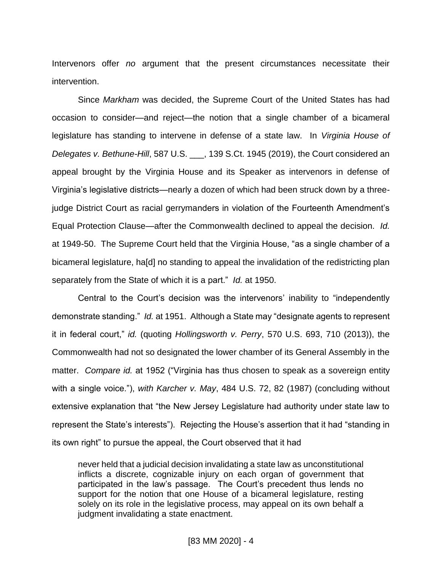Intervenors offer *no* argument that the present circumstances necessitate their intervention.

Since *Markham* was decided, the Supreme Court of the United States has had occasion to consider—and reject—the notion that a single chamber of a bicameral legislature has standing to intervene in defense of a state law. In *Virginia House of Delegates v. Bethune-Hill*, 587 U.S. \_\_\_, 139 S.Ct. 1945 (2019), the Court considered an appeal brought by the Virginia House and its Speaker as intervenors in defense of Virginia's legislative districts—nearly a dozen of which had been struck down by a threejudge District Court as racial gerrymanders in violation of the Fourteenth Amendment's Equal Protection Clause—after the Commonwealth declined to appeal the decision. *Id.* at 1949-50. The Supreme Court held that the Virginia House, "as a single chamber of a bicameral legislature, ha[d] no standing to appeal the invalidation of the redistricting plan separately from the State of which it is a part." *Id.* at 1950.

Central to the Court's decision was the intervenors' inability to "independently demonstrate standing." *Id.* at 1951. Although a State may "designate agents to represent it in federal court," *id.* (quoting *Hollingsworth v. Perry*, 570 U.S. 693, 710 (2013)), the Commonwealth had not so designated the lower chamber of its General Assembly in the matter. *Compare id.* at 1952 ("Virginia has thus chosen to speak as a sovereign entity with a single voice."), *with Karcher v. May*, 484 U.S. 72, 82 (1987) (concluding without extensive explanation that "the New Jersey Legislature had authority under state law to represent the State's interests"). Rejecting the House's assertion that it had "standing in its own right" to pursue the appeal, the Court observed that it had

never held that a judicial decision invalidating a state law as unconstitutional inflicts a discrete, cognizable injury on each organ of government that participated in the law's passage. The Court's precedent thus lends no support for the notion that one House of a bicameral legislature, resting solely on its role in the legislative process, may appeal on its own behalf a judgment invalidating a state enactment.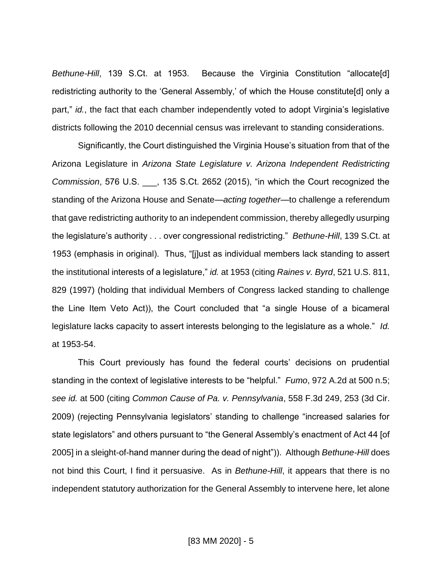*Bethune-Hill*, 139 S.Ct. at 1953. Because the Virginia Constitution "allocate[d] redistricting authority to the 'General Assembly,' of which the House constitute[d] only a part," *id.*, the fact that each chamber independently voted to adopt Virginia's legislative districts following the 2010 decennial census was irrelevant to standing considerations.

Significantly, the Court distinguished the Virginia House's situation from that of the Arizona Legislature in *Arizona State Legislature v. Arizona Independent Redistricting Commission*, 576 U.S. \_\_\_, 135 S.Ct. 2652 (2015), "in which the Court recognized the standing of the Arizona House and Senate—*acting together*—to challenge a referendum that gave redistricting authority to an independent commission, thereby allegedly usurping the legislature's authority . . . over congressional redistricting." *Bethune-Hill*, 139 S.Ct. at 1953 (emphasis in original). Thus, "[j]ust as individual members lack standing to assert the institutional interests of a legislature," *id.* at 1953 (citing *Raines v. Byrd*, 521 U.S. 811, 829 (1997) (holding that individual Members of Congress lacked standing to challenge the Line Item Veto Act)), the Court concluded that "a single House of a bicameral legislature lacks capacity to assert interests belonging to the legislature as a whole." *Id.* at 1953-54.

This Court previously has found the federal courts' decisions on prudential standing in the context of legislative interests to be "helpful." *Fumo*, 972 A.2d at 500 n.5; *see id.* at 500 (citing *Common Cause of Pa. v. Pennsylvania*, 558 F.3d 249, 253 (3d Cir. 2009) (rejecting Pennsylvania legislators' standing to challenge "increased salaries for state legislators" and others pursuant to "the General Assembly's enactment of Act 44 [of 2005] in a sleight-of-hand manner during the dead of night")). Although *Bethune-Hill* does not bind this Court, I find it persuasive. As in *Bethune-Hill*, it appears that there is no independent statutory authorization for the General Assembly to intervene here, let alone